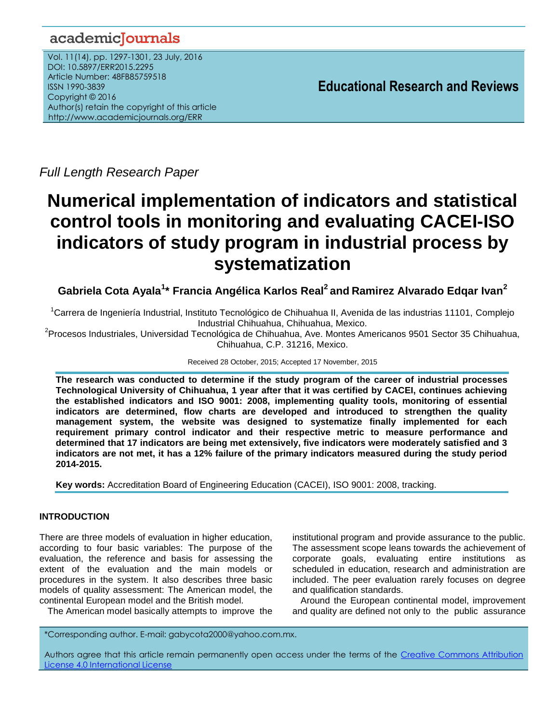## academiclournals

Vol. 11(14), pp. 1297-1301, 23 July, 2016 DOI: 10.5897/ERR2015.2295 Article Number: 48FB85759518 ISSN 1990-3839 Copyright © 2016 Author(s) retain the copyright of this article http://www.academicjournals.org/ERR

**Educational Research and Reviews**

*Full Length Research Paper*

# **Numerical implementation of indicators and statistical control tools in monitoring and evaluating CACEI-ISO indicators of study program in industrial process by systematization**

**Gabriela Cota Ayala<sup>1</sup> \* Francia Angélica Karlos Real<sup>2</sup> and Ramirez Alvarado Edqar Ivan<sup>2</sup>**

<sup>1</sup>Carrera de Ingeniería Industrial, Instituto Tecnológico de Chihuahua II, Avenida de las industrias 11101, Complejo Industrial Chihuahua, Chihuahua, Mexico.

<sup>2</sup>Procesos Industriales, Universidad Tecnológica de Chihuahua, Ave. Montes Americanos 9501 Sector 35 Chihuahua, Chihuahua, C.P. 31216, Mexico.

Received 28 October, 2015; Accepted 17 November, 2015

**The research was conducted to determine if the study program of the career of industrial processes Technological University of Chihuahua, 1 year after that it was certified by CACEI, continues achieving the established indicators and ISO 9001: 2008, implementing quality tools, monitoring of essential indicators are determined, flow charts are developed and introduced to strengthen the quality management system, the website was designed to systematize finally implemented for each requirement primary control indicator and their respective metric to measure performance and determined that 17 indicators are being met extensively, five indicators were moderately satisfied and 3 indicators are not met, it has a 12% failure of the primary indicators measured during the study period 2014-2015.**

**Key words:** Accreditation Board of Engineering Education (CACEI), ISO 9001: 2008, tracking.

## **INTRODUCTION**

There are three models of evaluation in higher education, according to four basic variables: The purpose of the evaluation, the reference and basis for assessing the extent of the evaluation and the main models or procedures in the system. It also describes three basic models of quality assessment: The American model, the continental European model and the British model.

The American model basically attempts to improve the

institutional program and provide assurance to the public. The assessment scope leans towards the achievement of corporate goals, evaluating entire institutions as scheduled in education, research and administration are included. The peer evaluation rarely focuses on degree and qualification standards.

Around the European continental model, improvement and quality are defined not only to the public assurance

\*Corresponding author. E-mail: gabycota2000@yahoo.com.mx.

Authors agree that this article remain permanently open access under the terms of the Creative Commons Attribution [License 4.0 International License](file://192.168.1.24/reading/Arts%20and%20Education/ERR/2014/sept/read/Correction%20Pdf%201/ERR-17.04.14-1816/Publication/Creative%20Co)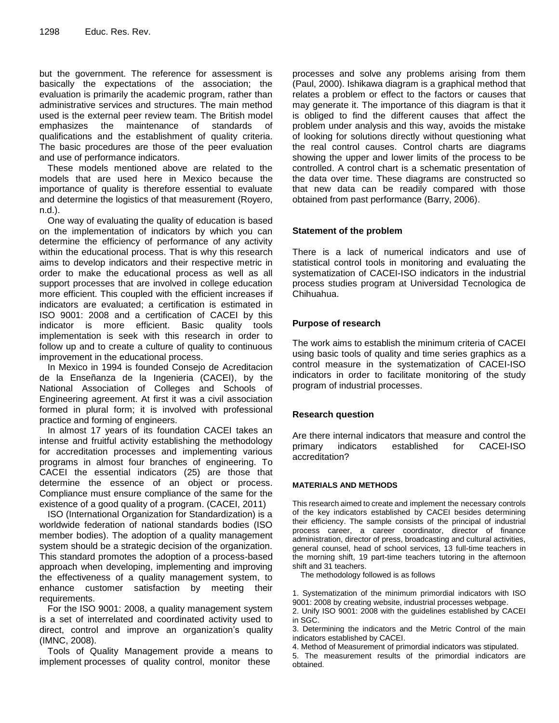but the government. The reference for assessment is basically the expectations of the association; the evaluation is primarily the academic program, rather than administrative services and structures. The main method used is the external peer review team. The British model emphasizes the maintenance of standards of qualifications and the establishment of quality criteria. The basic procedures are those of the peer evaluation and use of performance indicators.

These models mentioned above are related to the models that are used here in Mexico because the importance of quality is therefore essential to evaluate and determine the logistics of that measurement (Royero, n.d.).

One way of evaluating the quality of education is based on the implementation of indicators by which you can determine the efficiency of performance of any activity within the educational process. That is why this research aims to develop indicators and their respective metric in order to make the educational process as well as all support processes that are involved in college education more efficient. This coupled with the efficient increases if indicators are evaluated; a certification is estimated in ISO 9001: 2008 and a certification of CACEI by this indicator is more efficient. Basic quality tools implementation is seek with this research in order to follow up and to create a culture of quality to continuous improvement in the educational process.

In Mexico in 1994 is founded Consejo de Acreditacion de la Enseñanza de la Ingenieria (CACEI), by the National Association of Colleges and Schools of Engineering agreement. At first it was a civil association formed in plural form; it is involved with professional practice and forming of engineers.

In almost 17 years of its foundation CACEI takes an intense and fruitful activity establishing the methodology for accreditation processes and implementing various programs in almost four branches of engineering. To CACEI the essential indicators (25) are those that determine the essence of an object or process. Compliance must ensure compliance of the same for the existence of a good quality of a program. (CACEI, 2011)

ISO (International Organization for Standardization) is a worldwide federation of national standards bodies (ISO member bodies). The adoption of a quality management system should be a strategic decision of the organization. This standard promotes the adoption of a process-based approach when developing, implementing and improving the effectiveness of a quality management system, to enhance customer satisfaction by meeting their requirements.

For the ISO 9001: 2008, a quality management system is a set of interrelated and coordinated activity used to direct, control and improve an organization's quality (IMNC, 2008).

Tools of Quality Management provide a means to implement processes of quality control, monitor these

processes and solve any problems arising from them (Paul, 2000). Ishikawa diagram is a graphical method that relates a problem or effect to the factors or causes that may generate it. The importance of this diagram is that it is obliged to find the different causes that affect the problem under analysis and this way, avoids the mistake of looking for solutions directly without questioning what the real control causes. Control charts are diagrams showing the upper and lower limits of the process to be controlled. A control chart is a schematic presentation of the data over time. These diagrams are constructed so that new data can be readily compared with those obtained from past performance (Barry, 2006).

## **Statement of the problem**

There is a lack of numerical indicators and use of statistical control tools in monitoring and evaluating the systematization of CACEI-ISO indicators in the industrial process studies program at Universidad Tecnologica de Chihuahua.

## **Purpose of research**

The work aims to establish the minimum criteria of CACEI using basic tools of quality and time series graphics as a control measure in the systematization of CACEI-ISO indicators in order to facilitate monitoring of the study program of industrial processes.

## **Research question**

Are there internal indicators that measure and control the primary indicators established for CACEI-ISO accreditation?

## **MATERIALS AND METHODS**

This research aimed to create and implement the necessary controls of the key indicators established by CACEI besides determining their efficiency. The sample consists of the principal of industrial process career, a career coordinator, director of finance administration, director of press, broadcasting and cultural activities, general counsel, head of school services, 13 full-time teachers in the morning shift, 19 part-time teachers tutoring in the afternoon shift and 31 teachers.

The methodology followed is as follows

1. Systematization of the minimum primordial indicators with ISO 9001: 2008 by creating website, industrial processes webpage. 2. Unify ISO 9001: 2008 with the guidelines established by CACEI in SGC.

3. Determining the indicators and the Metric Control of the main indicators established by CACEI.

4. Method of Measurement of primordial indicators was stipulated.

5. The measurement results of the primordial indicators are obtained.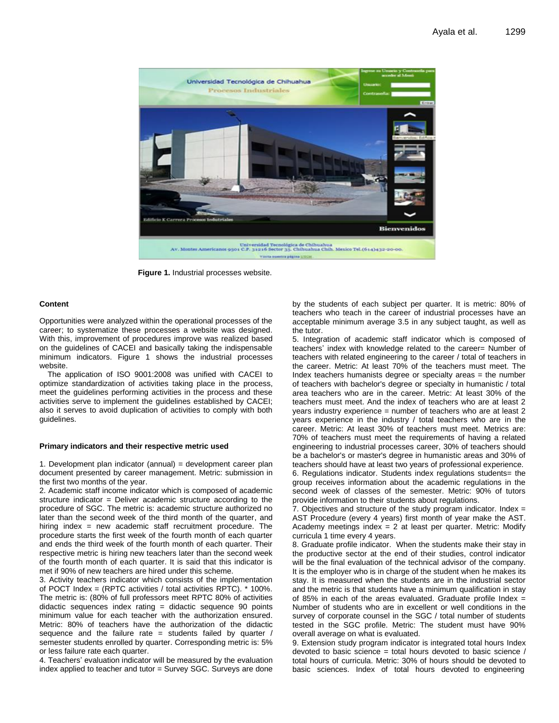

**Figure 1.** Industrial processes website.

#### **Content**

Opportunities were analyzed within the operational processes of the career; to systematize these processes a website was designed. With this, improvement of procedures improve was realized based on the guidelines of CACEI and basically taking the indispensable minimum indicators. Figure 1 shows the industrial processes website.

The application of ISO 9001:2008 was unified with CACEI to optimize standardization of activities taking place in the process, meet the guidelines performing activities in the process and these activities serve to implement the guidelines established by CACEI; also it serves to avoid duplication of activities to comply with both guidelines.

#### **Primary indicators and their respective metric used**

1. Development plan indicator (annual) = development career plan document presented by career management. Metric: submission in the first two months of the year.

2. Academic staff income indicator which is composed of academic structure indicator = Deliver academic structure according to the procedure of SGC. The metric is: academic structure authorized no later than the second week of the third month of the quarter, and hiring index = new academic staff recruitment procedure. The procedure starts the first week of the fourth month of each quarter and ends the third week of the fourth month of each quarter. Their respective metric is hiring new teachers later than the second week of the fourth month of each quarter. It is said that this indicator is met if 90% of new teachers are hired under this scheme.

3. Activity teachers indicator which consists of the implementation of POCT Index = (RPTC activities / total activities RPTC). \* 100%. The metric is: (80% of full professors meet RPTC 80% of activities didactic sequences index rating = didactic sequence 90 points minimum value for each teacher with the authorization ensured. Metric: 80% of teachers have the authorization of the didactic sequence and the failure rate = students failed by quarter  $/$ semester students enrolled by quarter. Corresponding metric is: 5% or less failure rate each quarter.

4. Teachers' evaluation indicator will be measured by the evaluation index applied to teacher and tutor = Survey SGC. Surveys are done by the students of each subject per quarter. It is metric: 80% of teachers who teach in the career of industrial processes have an acceptable minimum average 3.5 in any subject taught, as well as the tutor.

5. Integration of academic staff indicator which is composed of teachers' index with knowledge related to the career= Number of teachers with related engineering to the career / total of teachers in the career. Metric: At least 70% of the teachers must meet. The Index teachers humanists degree or specialty areas = the number of teachers with bachelor's degree or specialty in humanistic / total area teachers who are in the career. Metric: At least 30% of the teachers must meet. And the index of teachers who are at least 2 years industry experience = number of teachers who are at least 2 years experience in the industry / total teachers who are in the career. Metric: At least 30% of teachers must meet. Metrics are: 70% of teachers must meet the requirements of having a related engineering to industrial processes career, 30% of teachers should be a bachelor's or master's degree in humanistic areas and 30% of teachers should have at least two years of professional experience. 6. Regulations indicator. Students index regulations students= the group receives information about the academic regulations in the second week of classes of the semester. Metric: 90% of tutors provide information to their students about regulations.

7. Objectives and structure of the study program indicator. Index = AST Procedure (every 4 years) first month of year make the AST. Academy meetings index  $= 2$  at least per quarter. Metric: Modify curricula 1 time every 4 years.

8. Graduate profile indicator. When the students make their stay in the productive sector at the end of their studies, control indicator will be the final evaluation of the technical advisor of the company. It is the employer who is in charge of the student when he makes its stay. It is measured when the students are in the industrial sector and the metric is that students have a minimum qualification in stay of 85% in each of the areas evaluated. Graduate profile Index  $=$ Number of students who are in excellent or well conditions in the survey of corporate counsel in the SGC / total number of students tested in the SGC profile. Metric: The student must have 90% overall average on what is evaluated.

9. Extension study program indicator is integrated total hours Index devoted to basic science = total hours devoted to basic science / total hours of curricula. Metric: 30% of hours should be devoted to basic sciences. Index of total hours devoted to engineering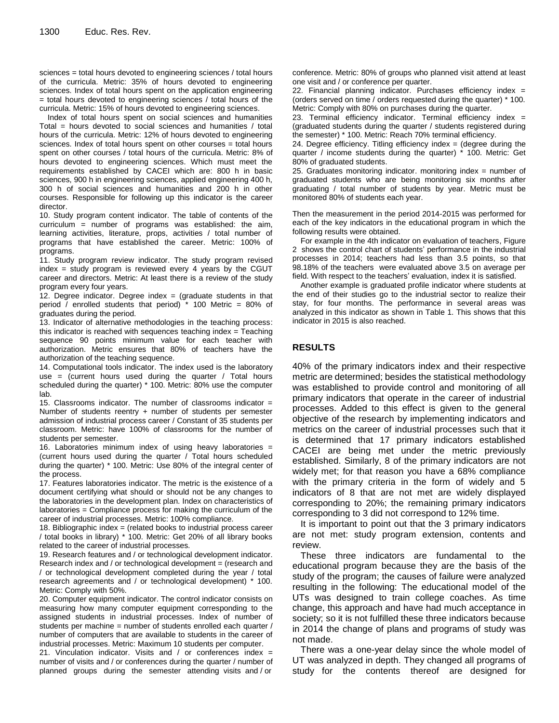sciences = total hours devoted to engineering sciences / total hours of the curricula. Metric: 35% of hours devoted to engineering sciences. Index of total hours spent on the application engineering = total hours devoted to engineering sciences / total hours of the curricula. Metric: 15% of hours devoted to engineering sciences.

Index of total hours spent on social sciences and humanities Total = hours devoted to social sciences and humanities / total hours of the curricula. Metric: 12% of hours devoted to engineering sciences. Index of total hours spent on other courses = total hours spent on other courses / total hours of the curricula. Metric: 8% of hours devoted to engineering sciences. Which must meet the requirements established by CACEI which are: 800 h in basic sciences, 900 h in engineering sciences, applied engineering 400 h, 300 h of social sciences and humanities and 200 h in other courses. Responsible for following up this indicator is the career director.

10. Study program content indicator. The table of contents of the curriculum = number of programs was established: the aim, learning activities, literature, props, activities / total number of programs that have established the career. Metric: 100% of programs.

11. Study program review indicator. The study program revised index = study program is reviewed every 4 years by the CGUT career and directors. Metric: At least there is a review of the study program every four years.

12. Degree indicator. Degree index  $=$  (graduate students in that period / enrolled students that period) \* 100 Metric = 80% of graduates during the period.

13. Indicator of alternative methodologies in the teaching process: this indicator is reached with sequences teaching index = Teaching sequence 90 points minimum value for each teacher with authorization. Metric ensures that 80% of teachers have the authorization of the teaching sequence.

14. Computational tools indicator. The index used is the laboratory use = (current hours used during the quarter / Total hours scheduled during the quarter) \* 100. Metric: 80% use the computer lab.

15. Classrooms indicator. The number of classrooms indicator = Number of students reentry + number of students per semester admission of industrial process career / Constant of 35 students per classroom. Metric: have 100% of classrooms for the number of students per semester.

16. Laboratories minimum index of using heavy laboratories = (current hours used during the quarter / Total hours scheduled during the quarter) \* 100. Metric: Use 80% of the integral center of the process.

17. Features laboratories indicator. The metric is the existence of a document certifying what should or should not be any changes to the laboratories in the development plan. Index on characteristics of laboratories = Compliance process for making the curriculum of the career of industrial processes. Metric: 100% compliance.

18. Bibliographic index = (related books to industrial process career / total books in library) \* 100. Metric: Get 20% of all library books related to the career of industrial processes.

19. Research features and / or technological development indicator. Research index and / or technological development = (research and / or technological development completed during the year / total research agreements and / or technological development) \* 100. Metric: Comply with 50%.

20. Computer equipment indicator. The control indicator consists on measuring how many computer equipment corresponding to the assigned students in industrial processes. Index of number of students per machine = number of students enrolled each quarter / number of computers that are available to students in the career of industrial processes. Metric: Maximum 10 students per computer.

21. Vinculation indicator. Visits and / or conferences index  $=$ number of visits and / or conferences during the quarter / number of planned groups during the semester attending visits and / or

conference. Metric: 80% of groups who planned visit attend at least one visit and / or conference per quarter.

22. Financial planning indicator. Purchases efficiency index = (orders served on time / orders requested during the quarter) \* 100. Metric: Comply with 80% on purchases during the quarter.

23. Terminal efficiency indicator. Terminal efficiency index = (graduated students during the quarter / students registered during the semester) \* 100. Metric: Reach 70% terminal efficiency.

24. Degree efficiency. Titling efficiency index = (degree during the quarter / income students during the quarter) \* 100. Metric: Get 80% of graduated students.

25. Graduates monitoring indicator. monitoring index = number of graduated students who are being monitoring six months after graduating / total number of students by year. Metric must be monitored 80% of students each year.

Then the measurement in the period 2014-2015 was performed for each of the key indicators in the educational program in which the following results were obtained.

For example in the 4th indicator on evaluation of teachers, Figure 2 shows the control chart of students' performance in the industrial processes in 2014; teachers had less than 3.5 points, so that 98.18% of the teachers were evaluated above 3.5 on average per field. With respect to the teachers' evaluation, index it is satisfied.

Another example is graduated profile indicator where students at the end of their studies go to the industrial sector to realize their stay, for four months. The performance in several areas was analyzed in this indicator as shown in Table 1. This shows that this indicator in 2015 is also reached.

## **RESULTS**

40% of the primary indicators index and their respective metric are determined; besides the statistical methodology was established to provide control and monitoring of all primary indicators that operate in the career of industrial processes. Added to this effect is given to the general objective of the research by implementing indicators and metrics on the career of industrial processes such that it is determined that 17 primary indicators established CACEI are being met under the metric previously established. Similarly, 8 of the primary indicators are not widely met; for that reason you have a 68% compliance with the primary criteria in the form of widely and 5 indicators of 8 that are not met are widely displayed corresponding to 20%; the remaining primary indicators corresponding to 3 did not correspond to 12% time.

It is important to point out that the 3 primary indicators are not met: study program extension, contents and review.

These three indicators are fundamental to the educational program because they are the basis of the study of the program; the causes of failure were analyzed resulting in the following: The educational model of the UTs was designed to train college coaches. As time change, this approach and have had much acceptance in society; so it is not fulfilled these three indicators because in 2014 the change of plans and programs of study was not made.

There was a one-year delay since the whole model of UT was analyzed in depth. They changed all programs of study for the contents thereof are designed for